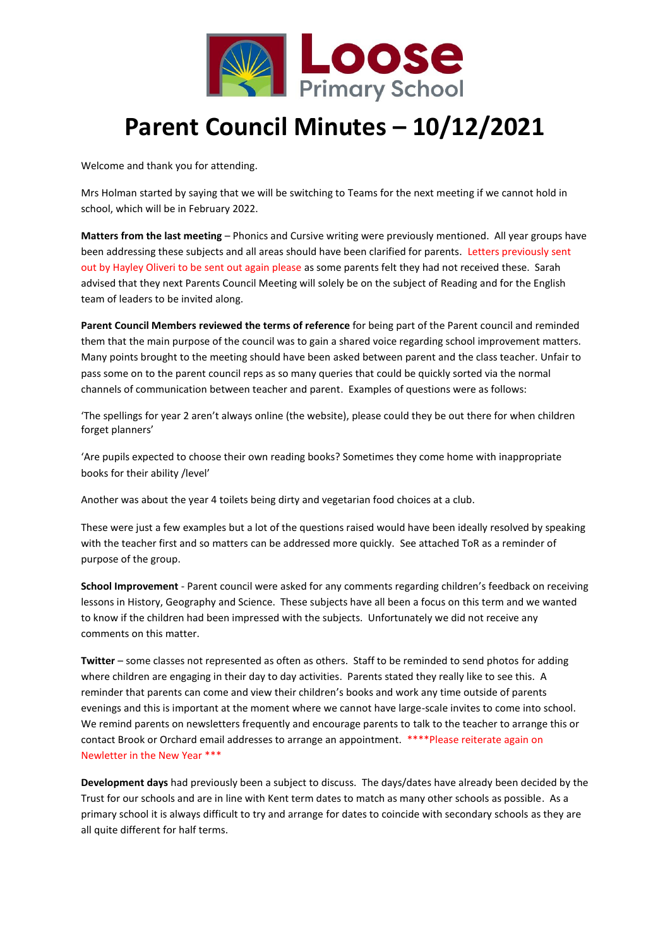

## **Parent Council Minutes – 10/12/2021**

Welcome and thank you for attending.

Mrs Holman started by saying that we will be switching to Teams for the next meeting if we cannot hold in school, which will be in February 2022.

**Matters from the last meeting** – Phonics and Cursive writing were previously mentioned. All year groups have been addressing these subjects and all areas should have been clarified for parents. Letters previously sent out by Hayley Oliveri to be sent out again please as some parents felt they had not received these. Sarah advised that they next Parents Council Meeting will solely be on the subject of Reading and for the English team of leaders to be invited along.

**Parent Council Members reviewed the terms of reference** for being part of the Parent council and reminded them that the main purpose of the council was to gain a shared voice regarding school improvement matters. Many points brought to the meeting should have been asked between parent and the class teacher. Unfair to pass some on to the parent council reps as so many queries that could be quickly sorted via the normal channels of communication between teacher and parent. Examples of questions were as follows:

'The spellings for year 2 aren't always online (the website), please could they be out there for when children forget planners'

'Are pupils expected to choose their own reading books? Sometimes they come home with inappropriate books for their ability /level'

Another was about the year 4 toilets being dirty and vegetarian food choices at a club.

These were just a few examples but a lot of the questions raised would have been ideally resolved by speaking with the teacher first and so matters can be addressed more quickly. See attached ToR as a reminder of purpose of the group.

**School Improvement** - Parent council were asked for any comments regarding children's feedback on receiving lessons in History, Geography and Science. These subjects have all been a focus on this term and we wanted to know if the children had been impressed with the subjects. Unfortunately we did not receive any comments on this matter.

**Twitter** – some classes not represented as often as others. Staff to be reminded to send photos for adding where children are engaging in their day to day activities. Parents stated they really like to see this. A reminder that parents can come and view their children's books and work any time outside of parents evenings and this is important at the moment where we cannot have large-scale invites to come into school. We remind parents on newsletters frequently and encourage parents to talk to the teacher to arrange this or contact Brook or Orchard email addresses to arrange an appointment. \*\*\*\*Please reiterate again on Newletter in the New Year \*\*\*

**Development days** had previously been a subject to discuss. The days/dates have already been decided by the Trust for our schools and are in line with Kent term dates to match as many other schools as possible. As a primary school it is always difficult to try and arrange for dates to coincide with secondary schools as they are all quite different for half terms.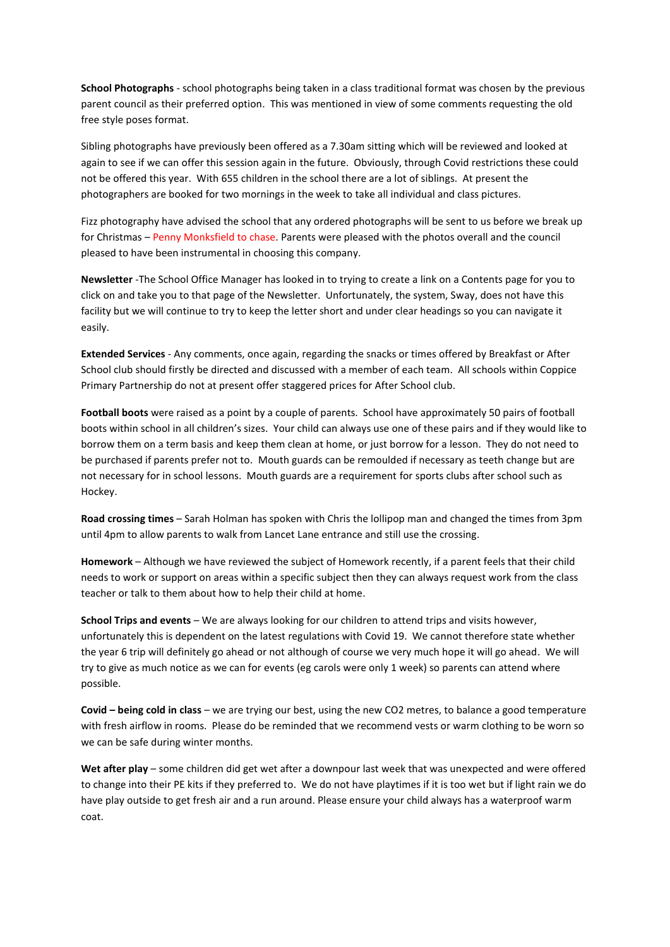**School Photographs** - school photographs being taken in a class traditional format was chosen by the previous parent council as their preferred option. This was mentioned in view of some comments requesting the old free style poses format.

Sibling photographs have previously been offered as a 7.30am sitting which will be reviewed and looked at again to see if we can offer this session again in the future. Obviously, through Covid restrictions these could not be offered this year. With 655 children in the school there are a lot of siblings. At present the photographers are booked for two mornings in the week to take all individual and class pictures.

Fizz photography have advised the school that any ordered photographs will be sent to us before we break up for Christmas – Penny Monksfield to chase. Parents were pleased with the photos overall and the council pleased to have been instrumental in choosing this company.

**Newsletter** -The School Office Manager has looked in to trying to create a link on a Contents page for you to click on and take you to that page of the Newsletter. Unfortunately, the system, Sway, does not have this facility but we will continue to try to keep the letter short and under clear headings so you can navigate it easily.

**Extended Services** - Any comments, once again, regarding the snacks or times offered by Breakfast or After School club should firstly be directed and discussed with a member of each team. All schools within Coppice Primary Partnership do not at present offer staggered prices for After School club.

**Football boots** were raised as a point by a couple of parents. School have approximately 50 pairs of football boots within school in all children's sizes. Your child can always use one of these pairs and if they would like to borrow them on a term basis and keep them clean at home, or just borrow for a lesson. They do not need to be purchased if parents prefer not to. Mouth guards can be remoulded if necessary as teeth change but are not necessary for in school lessons. Mouth guards are a requirement for sports clubs after school such as Hockey.

**Road crossing times** – Sarah Holman has spoken with Chris the lollipop man and changed the times from 3pm until 4pm to allow parents to walk from Lancet Lane entrance and still use the crossing.

**Homework** – Although we have reviewed the subject of Homework recently, if a parent feels that their child needs to work or support on areas within a specific subject then they can always request work from the class teacher or talk to them about how to help their child at home.

**School Trips and events** – We are always looking for our children to attend trips and visits however, unfortunately this is dependent on the latest regulations with Covid 19. We cannot therefore state whether the year 6 trip will definitely go ahead or not although of course we very much hope it will go ahead. We will try to give as much notice as we can for events (eg carols were only 1 week) so parents can attend where possible.

**Covid – being cold in class** – we are trying our best, using the new CO2 metres, to balance a good temperature with fresh airflow in rooms. Please do be reminded that we recommend vests or warm clothing to be worn so we can be safe during winter months.

**Wet after play** – some children did get wet after a downpour last week that was unexpected and were offered to change into their PE kits if they preferred to. We do not have playtimes if it is too wet but if light rain we do have play outside to get fresh air and a run around. Please ensure your child always has a waterproof warm coat.